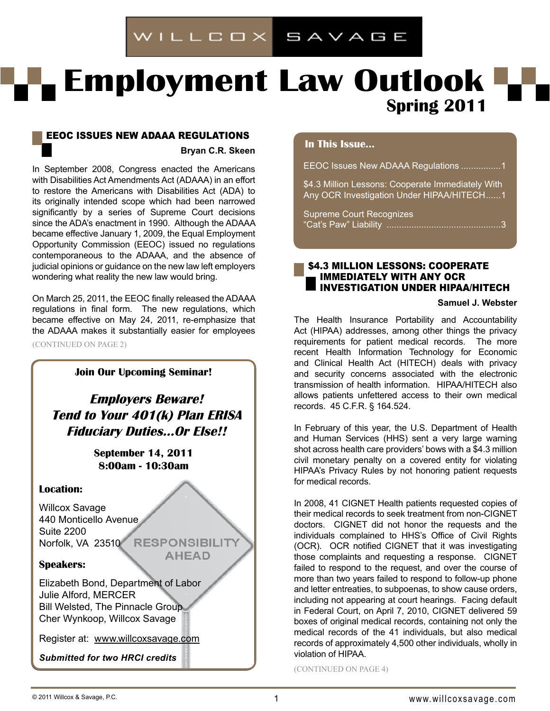# WILLCOX SAVAGE

# **Employment Law Outlook Spring 2011**

# EEOC Issues New ADAAA Regulations **Bryan C.R. Skeen**

In September 2008, Congress enacted the Americans with Disabilities Act Amendments Act (ADAAA) in an effort to restore the Americans with Disabilities Act (ADA) to its originally intended scope which had been narrowed significantly by a series of Supreme Court decisions since the ADA's enactment in 1990. Although the ADAAA became effective January 1, 2009, the Equal Employment Opportunity Commission (EEOC) issued no regulations contemporaneous to the ADAAA, and the absence of judicial opinions or guidance on the new law left employers wondering what reality the new law would bring.

On March 25, 2011, the EEOC finally released the ADAAA regulations in final form. The new regulations, which became effective on May 24, 2011, re-emphasize that the ADAAA makes it substantially easier for employees (CONTINUED ON PAGE 2)

# **Join Our Upcoming Seminar!**

**Employers Beware! Tend to Your 401(k) Plan ERISA Fiduciary Duties…Or Else!!**

> **September 14, 2011 8:00am - 10:30am**

# **Location:**

Willcox Savage 440 Monticello Avenue Suite 2200 Norfolk, VA 23510 RESPONSIBILITY

**AHEAD** 

# **Speakers:**

Elizabeth Bond, Department of Labor Julie Alford, MERCER Bill Welsted, The Pinnacle Group Cher Wynkoop, Willcox Savage

Register at: www.willcoxsavage.com

*Submitted for two HRCI credits*

# **In This Issue...**

EEOC Issues New ADAAA Regulations ................1

\$4.3 Million Lessons: Cooperate Immediately With Any OCR Investigation Under HIPAA/HITECH......1

Supreme Court Recognizes "Cat's Paw" Liability ..............................................3

# \$4.3 Million Lessons: Cooperate Immediately With Any OCR Investigation Under HIPAA/HITECH

#### **Samuel J. Webster**

The Health Insurance Portability and Accountability Act (HIPAA) addresses, among other things the privacy requirements for patient medical records. The more recent Health Information Technology for Economic and Clinical Health Act (HITECH) deals with privacy and security concerns associated with the electronic transmission of health information. HIPAA/HITECH also allows patients unfettered access to their own medical records. 45 C.F.R. § 164.524.

In February of this year, the U.S. Department of Health and Human Services (HHS) sent a very large warning shot across health care providers' bows with a \$4.3 million civil monetary penalty on a covered entity for violating HIPAA's Privacy Rules by not honoring patient requests for medical records.

In 2008, 41 CIGNET Health patients requested copies of their medical records to seek treatment from non-CIGNET doctors. CIGNET did not honor the requests and the individuals complained to HHS's Office of Civil Rights (OCR). OCR notified CIGNET that it was investigating those complaints and requesting a response. CIGNET failed to respond to the request, and over the course of more than two years failed to respond to follow-up phone and letter entreaties, to subpoenas, to show cause orders, including not appearing at court hearings. Facing default in Federal Court, on April 7, 2010, CIGNET delivered 59 boxes of original medical records, containing not only the medical records of the 41 individuals, but also medical records of approximately 4,500 other individuals, wholly in violation of HIPAA.

(CONTINUED ON PAGE 4)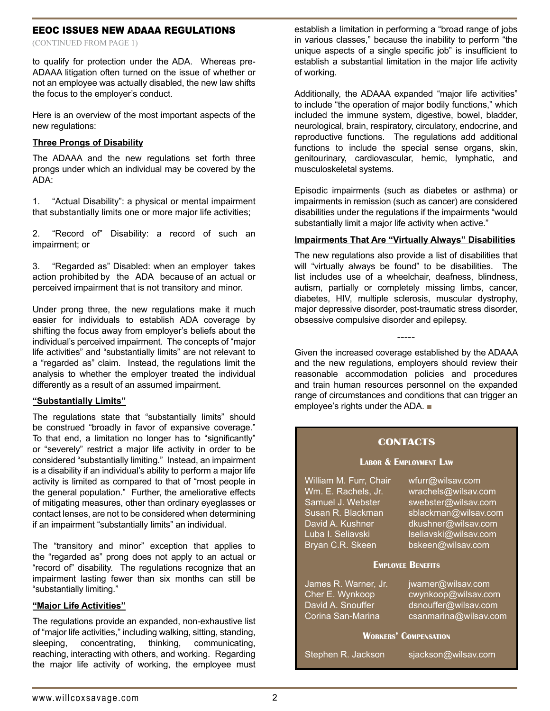# EEOC ISSUES NEW ADAAA REGULATIONS

(CONTINUED fROM PAGE 1)

to qualify for protection under the ADA. Whereas pre-ADAAA litigation often turned on the issue of whether or not an employee was actually disabled, the new law shifts the focus to the employer's conduct.

Here is an overview of the most important aspects of the new regulations:

#### **Three Prongs of Disability**

The ADAAA and the new regulations set forth three prongs under which an individual may be covered by the ADA:

1. "Actual Disability": a physical or mental impairment that substantially limits one or more major life activities;

2. "Record of" Disability: a record of such an impairment; or

3. "Regarded as" Disabled: when an employer takes action prohibited by the ADA because of an actual or perceived impairment that is not transitory and minor.

Under prong three, the new regulations make it much easier for individuals to establish ADA coverage by shifting the focus away from employer's beliefs about the individual's perceived impairment. The concepts of "major life activities" and "substantially limits" are not relevant to a "regarded as" claim. Instead, the regulations limit the analysis to whether the employer treated the individual differently as a result of an assumed impairment.

#### **"Substantially Limits"**

The regulations state that "substantially limits" should be construed "broadly in favor of expansive coverage." To that end, a limitation no longer has to "significantly" or "severely" restrict a major life activity in order to be considered "substantially limiting." Instead, an impairment is a disability if an individual's ability to perform a major life activity is limited as compared to that of "most people in the general population." Further, the ameliorative effects of mitigating measures, other than ordinary eyeglasses or contact lenses, are not to be considered when determining if an impairment "substantially limits" an individual.

The "transitory and minor" exception that applies to the "regarded as" prong does not apply to an actual or "record of" disability. The regulations recognize that an impairment lasting fewer than six months can still be "substantially limiting."

#### **"Major Life Activities"**

The regulations provide an expanded, non-exhaustive list of "major life activities," including walking, sitting, standing, sleeping, concentrating, thinking, communicating, reaching, interacting with others, and working. Regarding the major life activity of working, the employee must

establish a limitation in performing a "broad range of jobs in various classes," because the inability to perform "the unique aspects of a single specific job" is insufficient to establish a substantial limitation in the major life activity of working.

Additionally, the ADAAA expanded "major life activities" to include "the operation of major bodily functions," which included the immune system, digestive, bowel, bladder, neurological, brain, respiratory, circulatory, endocrine, and reproductive functions. The regulations add additional functions to include the special sense organs, skin, genitourinary, cardiovascular, hemic, lymphatic, and musculoskeletal systems.

Episodic impairments (such as diabetes or asthma) or impairments in remission (such as cancer) are considered disabilities under the regulations if the impairments "would substantially limit a major life activity when active."

#### **Impairments That Are "Virtually Always" Disabilities**

The new regulations also provide a list of disabilities that will "virtually always be found" to be disabilities. The list includes use of a wheelchair, deafness, blindness, autism, partially or completely missing limbs, cancer, diabetes, HIV, multiple sclerosis, muscular dystrophy, major depressive disorder, post-traumatic stress disorder, obsessive compulsive disorder and epilepsy.

Given the increased coverage established by the ADAAA and the new regulations, employers should review their reasonable accommodation policies and procedures and train human resources personnel on the expanded range of circumstances and conditions that can trigger an employee's rights under the ADA. ■

-----

#### **Contacts**

#### **Labor & Employment Law**

| William M. Furr, Chair<br>Wm. E. Rachels, Jr.<br>Samuel J. Webster<br>Susan R. Blackman<br>David A. Kushner<br>Luba I. Seliavski | wfurr@wilsav.com<br>wrachels@wilsav.com<br>swebster@wilsav.com<br>sblackman@wilsav.com<br>dkushner@wilsav.com<br>Iseliavski@wilsav.com |
|----------------------------------------------------------------------------------------------------------------------------------|----------------------------------------------------------------------------------------------------------------------------------------|
| Bryan C.R. Skeen                                                                                                                 | bskeen@wilsav.com                                                                                                                      |
| <b>EMPLOYEE BENEFITS</b>                                                                                                         |                                                                                                                                        |
| James R. Warner, Jr.                                                                                                             | jwarner@wilsav.com                                                                                                                     |
| Cher E. Wynkoop                                                                                                                  | cwynkoop@wilsav.com                                                                                                                    |
| David A. Snouffer                                                                                                                | dsnouffer@wilsav.com                                                                                                                   |
| Corina San-Marina                                                                                                                | csanmarina@wilsav.com                                                                                                                  |

#### **Workers' Compensation**

| Stephen R. Jackson | sjackson@wilsav.com |
|--------------------|---------------------|
|--------------------|---------------------|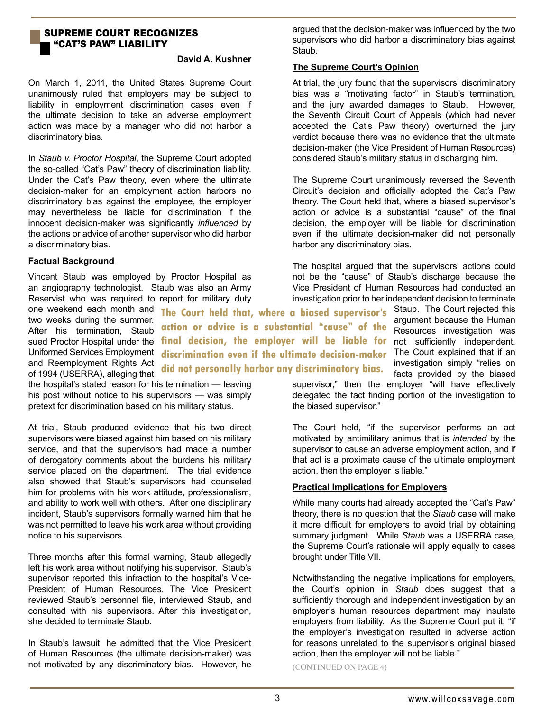# Supreme Court Recognizes "CAT'S PAW" LIABILITY

# **David A. Kushner**

On March 1, 2011, the United States Supreme Court unanimously ruled that employers may be subject to liability in employment discrimination cases even if the ultimate decision to take an adverse employment action was made by a manager who did not harbor a discriminatory bias.

In *Staub v. Proctor Hospital*, the Supreme Court adopted the so-called "Cat's Paw" theory of discrimination liability. Under the Cat's Paw theory, even where the ultimate decision-maker for an employment action harbors no discriminatory bias against the employee, the employer may nevertheless be liable for discrimination if the innocent decision-maker was significantly *influenced* by the actions or advice of another supervisor who did harbor a discriminatory bias.

# **Factual Background**

Vincent Staub was employed by Proctor Hospital as an angiography technologist. Staub was also an Army Reservist who was required to report for military duty argued that the decision-maker was influenced by the two supervisors who did harbor a discriminatory bias against Staub.

# **The Supreme Court's Opinion**

At trial, the jury found that the supervisors' discriminatory bias was a "motivating factor" in Staub's termination, and the jury awarded damages to Staub. However, the Seventh Circuit Court of Appeals (which had never accepted the Cat's Paw theory) overturned the jury verdict because there was no evidence that the ultimate decision-maker (the Vice President of Human Resources) considered Staub's military status in discharging him.

The Supreme Court unanimously reversed the Seventh Circuit's decision and officially adopted the Cat's Paw theory. The Court held that, where a biased supervisor's action or advice is a substantial "cause" of the final decision, the employer will be liable for discrimination even if the ultimate decision-maker did not personally harbor any discriminatory bias.

The hospital argued that the supervisors' actions could not be the "cause" of Staub's discharge because the Vice President of Human Resources had conducted an investigation prior to her independent decision to terminate

sued Proctor Hospital under the **final decision, the employer will be liable for** not sufficiently independent. one weekend each month and two weeks during the summer. After his termination, Staub **The Court held that, where a biased supervisor's action or advice is a substantial "cause" of the discrimination even if the ultimate decision-maker did not personally harbor any discriminatory bias.**

Staub. The Court rejected this argument because the Human Resources investigation was The Court explained that if an investigation simply "relies on facts provided by the biased

supervisor," then the employer "will have effectively delegated the fact finding portion of the investigation to the biased supervisor."

The Court held, "if the supervisor performs an act motivated by antimilitary animus that is *intended* by the supervisor to cause an adverse employment action, and if that act is a proximate cause of the ultimate employment action, then the employer is liable."

# **Practical Implications for Employers**

While many courts had already accepted the "Cat's Paw" theory, there is no question that the *Staub* case will make it more difficult for employers to avoid trial by obtaining summary judgment. While *Staub* was a USERRA case, the Supreme Court's rationale will apply equally to cases brought under Title VII.

Notwithstanding the negative implications for employers, the Court's opinion in *Staub* does suggest that a sufficiently thorough and independent investigation by an employer's human resources department may insulate employers from liability. As the Supreme Court put it, "if the employer's investigation resulted in adverse action for reasons unrelated to the supervisor's original biased action, then the employer will not be liable."

Uniformed Services Employment and Reemployment Rights Act of 1994 (USERRA), alleging that the hospital's stated reason for his termination — leaving his post without notice to his supervisors — was simply pretext for discrimination based on his military status.

At trial, Staub produced evidence that his two direct supervisors were biased against him based on his military service, and that the supervisors had made a number of derogatory comments about the burdens his military service placed on the department. The trial evidence also showed that Staub's supervisors had counseled him for problems with his work attitude, professionalism, and ability to work well with others. After one disciplinary incident, Staub's supervisors formally warned him that he was not permitted to leave his work area without providing notice to his supervisors.

Three months after this formal warning, Staub allegedly left his work area without notifying his supervisor. Staub's supervisor reported this infraction to the hospital's Vice-President of Human Resources. The Vice President reviewed Staub's personnel file, interviewed Staub, and consulted with his supervisors. After this investigation, she decided to terminate Staub.

In Staub's lawsuit, he admitted that the Vice President of Human Resources (the ultimate decision-maker) was not motivated by any discriminatory bias. However, he  $(CONTINUED ON PAGE 4)$